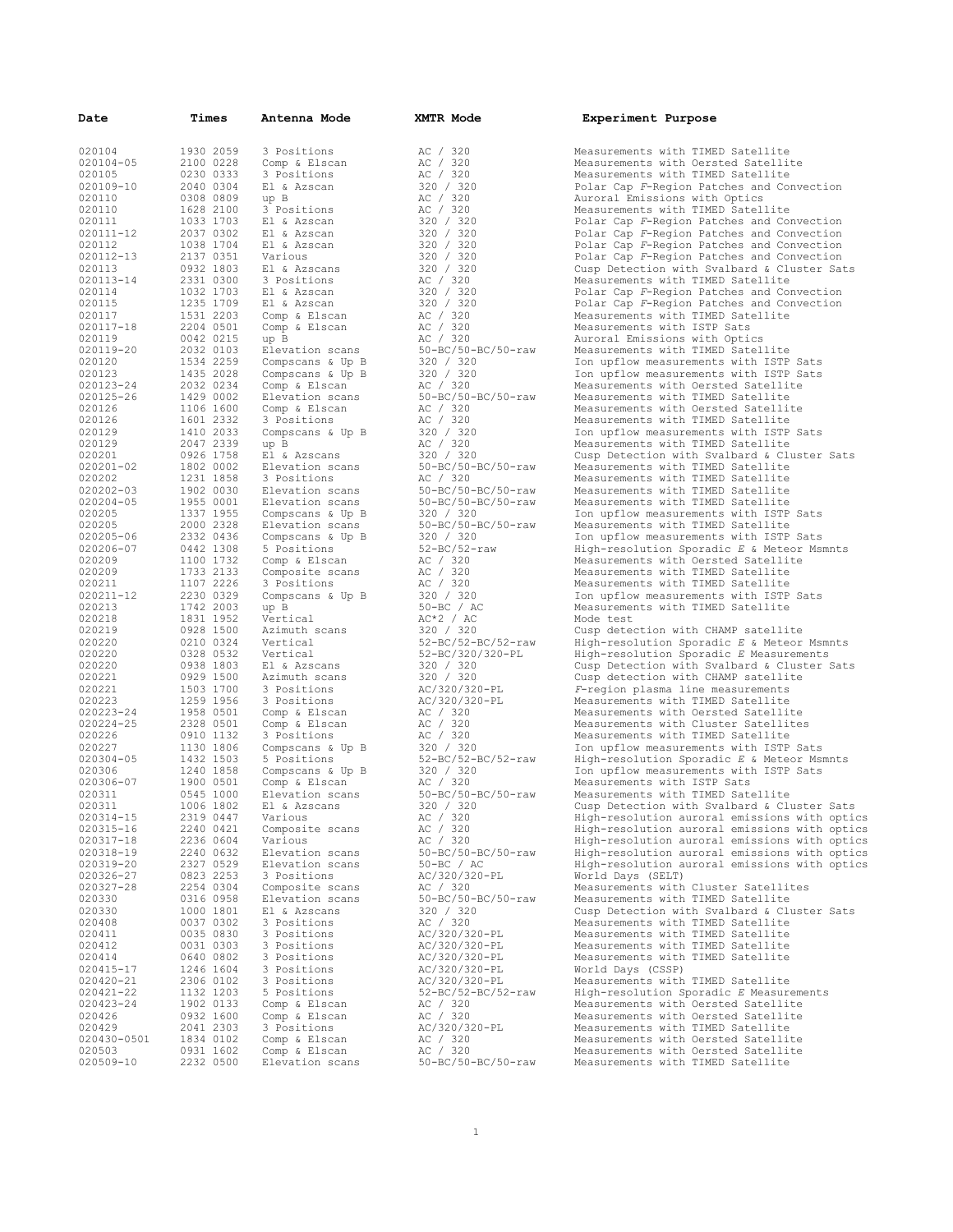| Date          | Times                               | Antenna Mode                                                                                                                                                                                                                                                     | <b>XMTR Mode</b>                                                                                                                                                                                                                                 | Experiment Purpose     |
|---------------|-------------------------------------|------------------------------------------------------------------------------------------------------------------------------------------------------------------------------------------------------------------------------------------------------------------|--------------------------------------------------------------------------------------------------------------------------------------------------------------------------------------------------------------------------------------------------|------------------------|
| 020104        | 1930 2059                           | 3 Positions                                                                                                                                                                                                                                                      | AC / 320                                                                                                                                                                                                                                         | Measurements with TIME |
| 020104-05     | 2100 0228                           |                                                                                                                                                                                                                                                                  |                                                                                                                                                                                                                                                  | Measurements with Oers |
| 020105        | 0230 0333                           |                                                                                                                                                                                                                                                                  |                                                                                                                                                                                                                                                  | Measurements with TIME |
| 020109-10     | 2040 0304                           |                                                                                                                                                                                                                                                                  |                                                                                                                                                                                                                                                  | Polar Cap F-Region Pat |
| 020110        | 0308 0809                           | 3 Positions<br>3 Rositions<br>3 Rositions<br>20 3 Positions<br>20 3 Rositions<br>20 3 Rositions<br>3 Rositions<br>20 3 Rositions<br>20 3 20 320<br>21 & Azscan<br>22 0 320<br>21 & Azscan<br>23 0 320<br>23 20 320<br>22 0 320<br>22 0 320<br>22 0 320<br>22 0 3 |                                                                                                                                                                                                                                                  | Auroral Emissions with |
| 020110        | 1628 2100                           |                                                                                                                                                                                                                                                                  |                                                                                                                                                                                                                                                  | Measurements with TIME |
| 020111        |                                     | 1033 1703 El & Azscan                                                                                                                                                                                                                                            |                                                                                                                                                                                                                                                  | Polar Cap F-Region Pat |
|               | 2037 0302                           |                                                                                                                                                                                                                                                                  |                                                                                                                                                                                                                                                  |                        |
| 020111-12     |                                     |                                                                                                                                                                                                                                                                  |                                                                                                                                                                                                                                                  | Polar Cap F-Region Pat |
| 020112        | 1038 1704                           |                                                                                                                                                                                                                                                                  |                                                                                                                                                                                                                                                  | Polar Cap F-Region Pat |
| 020112-13     | 2137 0351                           |                                                                                                                                                                                                                                                                  |                                                                                                                                                                                                                                                  | Polar Cap F-Region Pat |
| 020113        | 0932 1803                           | El & Azscans                                                                                                                                                                                                                                                     |                                                                                                                                                                                                                                                  | Cusp Detection with Sv |
| 020113-14     | 2331 0300                           |                                                                                                                                                                                                                                                                  |                                                                                                                                                                                                                                                  | Measurements with TIME |
| 020114        |                                     | 1032 1703 El & Azscan                                                                                                                                                                                                                                            |                                                                                                                                                                                                                                                  | Polar Cap F-Region Pat |
| 020115        | 1235 1709                           | El & Azscan                                                                                                                                                                                                                                                      |                                                                                                                                                                                                                                                  | Polar Cap F-Region Pat |
| 020117        |                                     | 1531 2203 Comp & Elscan                                                                                                                                                                                                                                          |                                                                                                                                                                                                                                                  | Measurements with TIME |
| 020117-18     | 2204 0501                           |                                                                                                                                                                                                                                                                  |                                                                                                                                                                                                                                                  | Measurements with ISTP |
| 020119        | 0042 0215                           | up B                                                                                                                                                                                                                                                             | AC / 320                                                                                                                                                                                                                                         | Auroral Emissions with |
| 020119-20     |                                     |                                                                                                                                                                                                                                                                  |                                                                                                                                                                                                                                                  | Measurements with TIME |
| 020120        |                                     |                                                                                                                                                                                                                                                                  | 2032 0103 Elevation scans<br>1534 2259 Compscans & Up B<br>1435 2028 Compscans & Up B<br>1435 2028 Compscans & Up B<br>2020 / 320<br>1429 0002 Elevation scans<br>106 1600 Comp & Elscan<br>106 1600 Comp & Elscan<br>106 1600 Comp & Elscan<br> | Ion upflow measurement |
| 020123        |                                     |                                                                                                                                                                                                                                                                  |                                                                                                                                                                                                                                                  | Ion upflow measurement |
| 020123-24     |                                     | 2032 0234 Comp & Elscan                                                                                                                                                                                                                                          |                                                                                                                                                                                                                                                  | Measurements with Oers |
| 020125-26     |                                     |                                                                                                                                                                                                                                                                  |                                                                                                                                                                                                                                                  | Measurements with TIME |
| 020126        |                                     |                                                                                                                                                                                                                                                                  |                                                                                                                                                                                                                                                  | Measurements with Oers |
| 020126        | 1601 2332                           |                                                                                                                                                                                                                                                                  |                                                                                                                                                                                                                                                  | Measurements with TIME |
| 020129        | 1410 2033                           |                                                                                                                                                                                                                                                                  |                                                                                                                                                                                                                                                  | Ion upflow measurement |
| 020129        | 2047 2339                           |                                                                                                                                                                                                                                                                  |                                                                                                                                                                                                                                                  | Measurements with TIME |
|               |                                     |                                                                                                                                                                                                                                                                  | 3 Positions<br>$AC / 320$<br>Compscans & Up B<br>$AC / 320$<br>up B<br>$AC / 320$<br>El & Azscans<br>$320 / 320$<br>El & Azscans<br>$50-BC/50-EC$<br>$70-6C/50-raw$<br>3 Positions                                                               |                        |
| 020201        | 0926 1758                           |                                                                                                                                                                                                                                                                  |                                                                                                                                                                                                                                                  | Cusp Detection with Sv |
| 020201-02     | 1802 0002                           |                                                                                                                                                                                                                                                                  |                                                                                                                                                                                                                                                  | Measurements with TIME |
| 020202        | 1231 1858                           | 3 Positions                                                                                                                                                                                                                                                      | AC / 320                                                                                                                                                                                                                                         | Measurements with TIME |
| 020202-03     |                                     | 1902 0030 Elevation scans<br>1955 0001 Elevation scans                                                                                                                                                                                                           | $50 - BC / 50 - BC / 50 - raw$                                                                                                                                                                                                                   | Measurements with TIME |
| $020204 - 05$ |                                     |                                                                                                                                                                                                                                                                  | 50-BC/50-BC/50-raw                                                                                                                                                                                                                               | Measurements with TIME |
| 020205        | 1337 1955                           | Compscans & Up B                                                                                                                                                                                                                                                 | 320 / 320                                                                                                                                                                                                                                        | Ion upflow measurement |
| 020205        |                                     | 2000 2328 Elevation scans                                                                                                                                                                                                                                        | 50-BC/50-BC/50-raw                                                                                                                                                                                                                               | Measurements with TIME |
| 020205-06     | 2332 0436                           | Compscans & Up B                                                                                                                                                                                                                                                 |                                                                                                                                                                                                                                                  | Ion upflow measurement |
| 020206-07     | 0442 1308                           | 5 Positions                                                                                                                                                                                                                                                      | 320 / 320<br>52-BC/52-raw                                                                                                                                                                                                                        | High-resolution Sporad |
| 020209        | 1100 1732                           | Comp & Elscan                                                                                                                                                                                                                                                    | AC / 320<br>AC / 320<br>AC / 320                                                                                                                                                                                                                 | Measurements with Oers |
| 020209        |                                     | 1733 2133 Composite scans                                                                                                                                                                                                                                        |                                                                                                                                                                                                                                                  | Measurements with TIME |
| 020211        | 1107 2226                           | 3 Positions                                                                                                                                                                                                                                                      |                                                                                                                                                                                                                                                  | Measurements with TIME |
| 020211-12     | 2230 0329                           | Compscans & Up B 320 / 320<br>up B 50-BC / AC                                                                                                                                                                                                                    |                                                                                                                                                                                                                                                  | Ion upflow measurement |
| 020213        | 1742 2003                           |                                                                                                                                                                                                                                                                  |                                                                                                                                                                                                                                                  | Measurements with TIME |
| 020218        | 1831 1952                           | Vertical                                                                                                                                                                                                                                                         | AC*2 / AC<br>320 / 320<br>52-BC/52-BC/52-raw                                                                                                                                                                                                     | Mode test              |
| 020219        | 0928 1500                           | Azimuth scans                                                                                                                                                                                                                                                    |                                                                                                                                                                                                                                                  | Cusp detection with CH |
| 020220        | 0210 0324                           | Vertical                                                                                                                                                                                                                                                         |                                                                                                                                                                                                                                                  | High-resolution Sporad |
| 020220        | 0328 0532                           | Vertical                                                                                                                                                                                                                                                         | 52-BC/320/320-PL                                                                                                                                                                                                                                 | High-resolution Sporad |
| 020220        | 0938 1803                           | El & Azscans                                                                                                                                                                                                                                                     | 320 / 320                                                                                                                                                                                                                                        | Cusp Detection with Sv |
| 020221        | 0929 1500                           | Azimuth scans                                                                                                                                                                                                                                                    | $\begin{array}{lll} 320 & / & 320 \\ 320 & / & 320 \\ \text{AC} / & 320 / 320 - \text{PL} \\ \text{AC} & / & 320 \\ \text{AC} & / & 320 \\ \text{AC} & / & 320 \\ \text{AC} & / & 320 \\ \end{array}$                                            | Cusp detection with CH |
| 020221        | 1503 1700                           | 3 Positions                                                                                                                                                                                                                                                      |                                                                                                                                                                                                                                                  | F-region plasma line m |
| 020223        | 1259 1956                           | 3 Positions                                                                                                                                                                                                                                                      |                                                                                                                                                                                                                                                  | Measurements with TIME |
| 020223-24     | 1958 0501                           |                                                                                                                                                                                                                                                                  |                                                                                                                                                                                                                                                  |                        |
| $020224 - 25$ | 2328 0501                           | Comp & Elscan                                                                                                                                                                                                                                                    |                                                                                                                                                                                                                                                  | Measurements with Oers |
|               |                                     | Comp & Elscan                                                                                                                                                                                                                                                    |                                                                                                                                                                                                                                                  | Measurements with Clus |
| 020226        | 0910 1132                           | 3 Positions                                                                                                                                                                                                                                                      |                                                                                                                                                                                                                                                  | Measurements with TIME |
| 020227        | 1130 1806<br>1130 1806<br>1432 1503 | S FOSECEONS<br>Compscans & Up B 320 / 320                                                                                                                                                                                                                        |                                                                                                                                                                                                                                                  | Ion upflow measurement |
| 020304-05     |                                     | 5 Positions                                                                                                                                                                                                                                                      | 52-BC/52-BC/52-raw                                                                                                                                                                                                                               | High-resolution Sporad |
| 020306        |                                     | 1240 1858 Compscans & Up B                                                                                                                                                                                                                                       | 320 / 320<br>AC / 320                                                                                                                                                                                                                            | Ion upflow measurement |
| 020306-07     | 1900 0501                           | Comp & Elscan                                                                                                                                                                                                                                                    |                                                                                                                                                                                                                                                  | Measurements with ISTP |
| 020311        | 0545 1000                           | Elevation scans                                                                                                                                                                                                                                                  | $50 - BC / 50 - BC / 50 - raw$                                                                                                                                                                                                                   | Measurements with TIME |
| 020311        |                                     | 1006 1802 El & Azscans                                                                                                                                                                                                                                           | 320 / 320                                                                                                                                                                                                                                        | Cusp Detection with Sv |
| 020314-15     | 2319 0447                           | Various                                                                                                                                                                                                                                                          | AC / 320                                                                                                                                                                                                                                         | High-resolution aurora |
| 020315-16     | 2240 0421                           | Composite scans                                                                                                                                                                                                                                                  | AC / 320                                                                                                                                                                                                                                         | High-resolution aurora |
| 020317-18     | 2236 0604                           | Various                                                                                                                                                                                                                                                          | AC / 320                                                                                                                                                                                                                                         | High-resolution aurora |
| 020318-19     | 2240 0632                           | Elevation scans                                                                                                                                                                                                                                                  | 50-BC/50-BC/50-raw                                                                                                                                                                                                                               | High-resolution aurora |
| 020319-20     | 2327 0529                           | Elevation scans                                                                                                                                                                                                                                                  | $50 - BC / AC$                                                                                                                                                                                                                                   | High-resolution aurora |
| 020326-27     | 0823 2253                           | 3 Positions                                                                                                                                                                                                                                                      | AC/320/320-PL                                                                                                                                                                                                                                    | World Days (SELT)      |
| 020327-28     | 2254 0304                           | Composite scans                                                                                                                                                                                                                                                  | AC / 320                                                                                                                                                                                                                                         | Measurements with Clus |
| 020330        | 0316 0958                           | Elevation scans                                                                                                                                                                                                                                                  | $50 - BC / 50 - BC / 50 - raw$                                                                                                                                                                                                                   | Measurements with TIME |
| 020330        | 1000 1801                           | El & Azscans                                                                                                                                                                                                                                                     | 320 / 320                                                                                                                                                                                                                                        | Cusp Detection with Sv |
| 020408        | 0037 0302                           | 3 Positions                                                                                                                                                                                                                                                      | AC / 320                                                                                                                                                                                                                                         | Measurements with TIME |
| 020411        | 0035 0830                           | 3 Positions                                                                                                                                                                                                                                                      | AC/320/320-PL                                                                                                                                                                                                                                    | Measurements with TIME |
| 020412        | 0031 0303                           | 3 Positions                                                                                                                                                                                                                                                      | AC/320/320-PL                                                                                                                                                                                                                                    | Measurements with TIME |
| 020414        | 0640 0802                           | 3 Positions                                                                                                                                                                                                                                                      | AC/320/320-PL                                                                                                                                                                                                                                    | Measurements with TIME |
| 020415-17     | 1246 1604                           | 3 Positions                                                                                                                                                                                                                                                      | AC/320/320-PL                                                                                                                                                                                                                                    | World Days (CSSP)      |
| 020420-21     | 2306 0102                           | 3 Positions                                                                                                                                                                                                                                                      | AC/320/320-PL                                                                                                                                                                                                                                    | Measurements with TIME |
| 020421-22     | 1132 1203                           | 5 Positions                                                                                                                                                                                                                                                      | $52 - BC / 52 - BC / 52 - raw$                                                                                                                                                                                                                   | High-resolution Sporad |
| 020423-24     | 1902 0133                           | Comp & Elscan                                                                                                                                                                                                                                                    | AC / 320                                                                                                                                                                                                                                         | Measurements with Oers |
|               |                                     |                                                                                                                                                                                                                                                                  |                                                                                                                                                                                                                                                  |                        |
| 020426        | 0932 1600                           | Comp & Elscan                                                                                                                                                                                                                                                    | AC / 320                                                                                                                                                                                                                                         | Measurements with Oers |
| 020429        | 2041 2303                           | 3 Positions                                                                                                                                                                                                                                                      | AC/320/320-PL                                                                                                                                                                                                                                    | Measurements with TIME |
| 020430-0501   | 1834 0102                           | Comp & Elscan                                                                                                                                                                                                                                                    | AC / 320                                                                                                                                                                                                                                         | Measurements with Oers |
| 020503        | 0931 1602                           | Comp & Elscan                                                                                                                                                                                                                                                    | AC / 320                                                                                                                                                                                                                                         | Measurements with Oers |
| 020509-10     | 2232 0500                           | Elevation scans                                                                                                                                                                                                                                                  | $50 - BC / 50 - BC / 50 - raw$                                                                                                                                                                                                                   | Measurements with TIME |

| 320<br>AC<br>AC<br>320                                   |
|----------------------------------------------------------|
| AC<br>320                                                |
| $\sqrt{2}$<br>320<br>320                                 |
| 320<br>АC                                                |
| 320<br>АC                                                |
| 320<br>320<br>$\overline{a}$                             |
| $\overline{1}$<br>320<br>320                             |
| 320<br>320<br>$\overline{a}$<br>$\overline{1}$           |
| 320<br>320<br>320<br>320<br>$\overline{\phantom{a}}$     |
| 320<br>AС                                                |
| 320<br>320<br>$\overline{a}$                             |
| 320<br>320                                               |
| $\overline{a}$<br>320<br>AC                              |
| 320<br>$\overline{1}$<br>AС                              |
| 320<br>$\!mathcal{I}$<br>АC                              |
| 50-BC/50-BC/50-raw<br>320<br>320 /                       |
| 320<br>$\overline{\phantom{a}}$<br>320                   |
| AC / 320                                                 |
| 50-BC/50-BC/50-raw                                       |
| AC /                                                     |
| $\begin{array}{c} 7,30 \\ 320 \\ 7,30 \end{array}$<br>АC |
| $\overline{\phantom{a}}$<br>320<br>320<br>АC<br>320      |
| /320<br>320                                              |
| 50-BC/50-BC/50-raw                                       |
| AC / 320                                                 |
| 50-BC/50-BC/50-raw<br>50-BC/50-BC/50-raw                 |
|                                                          |
| 320 / 320                                                |
| 50-BC/50-BC/50-raw                                       |
| 320 / 320                                                |
| $52 - BC/52 - raw$<br>/320<br>AС                         |
| $\overline{1}$<br>320<br>AС                              |
| AC<br>320                                                |
| $\frac{320}{50}$<br>320                                  |
| $50 - BC$<br>/ $\,$ AC $\,$                              |
| AC*2 / AC<br>320 / 320                                   |
|                                                          |
| 52-BC/52-BC/52-raw<br>52-BC/320/320-PL                   |
| 320 /<br>320                                             |
| / ہے۔<br>320 /<br>"^<br>320                              |
| AC/320/320-PL                                            |
| AC/320/320-PL                                            |
| $\overline{\phantom{a}}$<br>320<br>АC<br>$\overline{1}$  |
| 320<br>АC<br>$\overline{\phantom{a}}$<br>320<br>AС       |
| 320 /<br>320                                             |
| 52-BC/52-BC/52-raw                                       |
| 320 / 320<br>AC / 320                                    |
|                                                          |
|                                                          |
|                                                          |
|                                                          |
| 50-BC/50-BC/50-raw<br>320 / 320<br>AC / 320              |
| $\overline{\phantom{a}}$<br>320<br>AС                    |
| /320<br>.<br>AC                                          |
| 50-BC/50-BC/50-raw                                       |
| 50-BC / AC<br>AC/320/320-PL                              |
| AC / 320                                                 |
| 50-BC/50-BC/50-raw                                       |
|                                                          |
| 320 / 320<br>AC / 320                                    |
|                                                          |
| AC/320/320-PL<br>AC/320/320-PL                           |
| AC/320/320-PL<br>AC/320/320-PL                           |
| AC/320/320-PL                                            |
| 52-BC/52-BC/52-raw                                       |
|                                                          |
| AC / 320<br>AC / 320                                     |
| AC/320/320-PL                                            |
|                                                          |
| AC / 320<br>AC / 320<br>50-BC/50-BC/50-raw               |

Measurements with TIMED Satellite Measurements with Oersted Satellite Measurements with TIMED Satellite Polar Cap *F*-Region Patches and Convection Auroral Emissions with Optics Measurements with TIMED Satellite Polar Cap F-Region Patches and Convection Polar Cap F-Region Patches and Convection Polar Cap F-Region Patches and Convection Polar Cap *F*-Region Patches and Convection Cusp Detection with Svalbard & Cluster Sats Measurements with TIMED Satellite Polar Cap F-Region Patches and Convection Polar Cap F-Region Patches and Convection Measurements with TIMED Satellite Measurements with ISTP Sats Auroral Emissions with Optics 020119-20 2032 0103 Elevation scans 50-BC/50-BC/50-raw Measurements with TIMED Satellite Ion upflow measurements with ISTP Sats Ion upflow measurements with ISTP Sats Measurements with Oersted Satellite Measurements with TIMED Satellite Measurements with Oersted Satellite Measurements with TIMED Satellite Ion upflow measurements with ISTP Sats Measurements with TIMED Satellite Cusp Detection with Svalbard & Cluster Sats Measurements with TIMED Satellite Measurements with TIMED Satellite Measurements with TIMED Satellite Measurements with TIMED Satellite Ion upflow measurements with ISTP Sats Measurements with TIMED Satellite Ion upflow measurements with ISTP Sats High-resolution Sporadic *E* & Meteor Msmnts Measurements with Oersted Satellite 020209 1733 2133 Composite scans AC / 320 Measurements with TIMED Satellite 020211 1107 2226 3 Positions AC / 320 Measurements with TIMED Satellite Ion upflow measurements with ISTP Sats Measurements with TIMED Satellite<br>Mode test These seat 020220 0210 0324 Vertical 52-BC/52-BC/52-raw High-resolution Sporadic *E* & Meteor Msmnts 020220 0328 0532 Vertical 52-BC/320/320-PL High-resolution Sporadic *E* Measurements Cusp Detection with Svalbard & Cluster Sats Cusp detection with CHAMP satellite F-region plasma line measurements Measurements with TIMED Satellite Measurements with Oersted Satellite Measurements with Cluster Satellites Measurements with TIMED Satellite Ion upflow measurements with ISTP Sats High-resolution Sporadic *E* & Meteor Msmnts Ion upflow measurements with ISTP Sats Measurements with ISTP Sats Measurements with TIMED Satellite Cusp Detection with Svalbard & Cluster Sats High-resolution auroral emissions with optics High-resolution auroral emissions with optics High-resolution auroral emissions with optics High-resolution auroral emissions with optics High-resolution auroral emissions with optics World Days (SELT) Measurements with Cluster Satellites Measurements with TIMED Satellite Cusp Detection with Svalbard & Cluster Sats Measurements with TIMED Satellite Measurements with TIMED Satellite Measurements with TIMED Satellite Measurements with TIMED Satellite World Days (CSSP) Measurements with TIMED Satellite High-resolution Sporadic *E* Measurements Measurements with Oersted Satellite Measurements with Oersted Satellite Measurements with TIMED Satellite Measurements with Oersted Satellite Measurements with Oersted Satellite Measurements with TIMED Satellite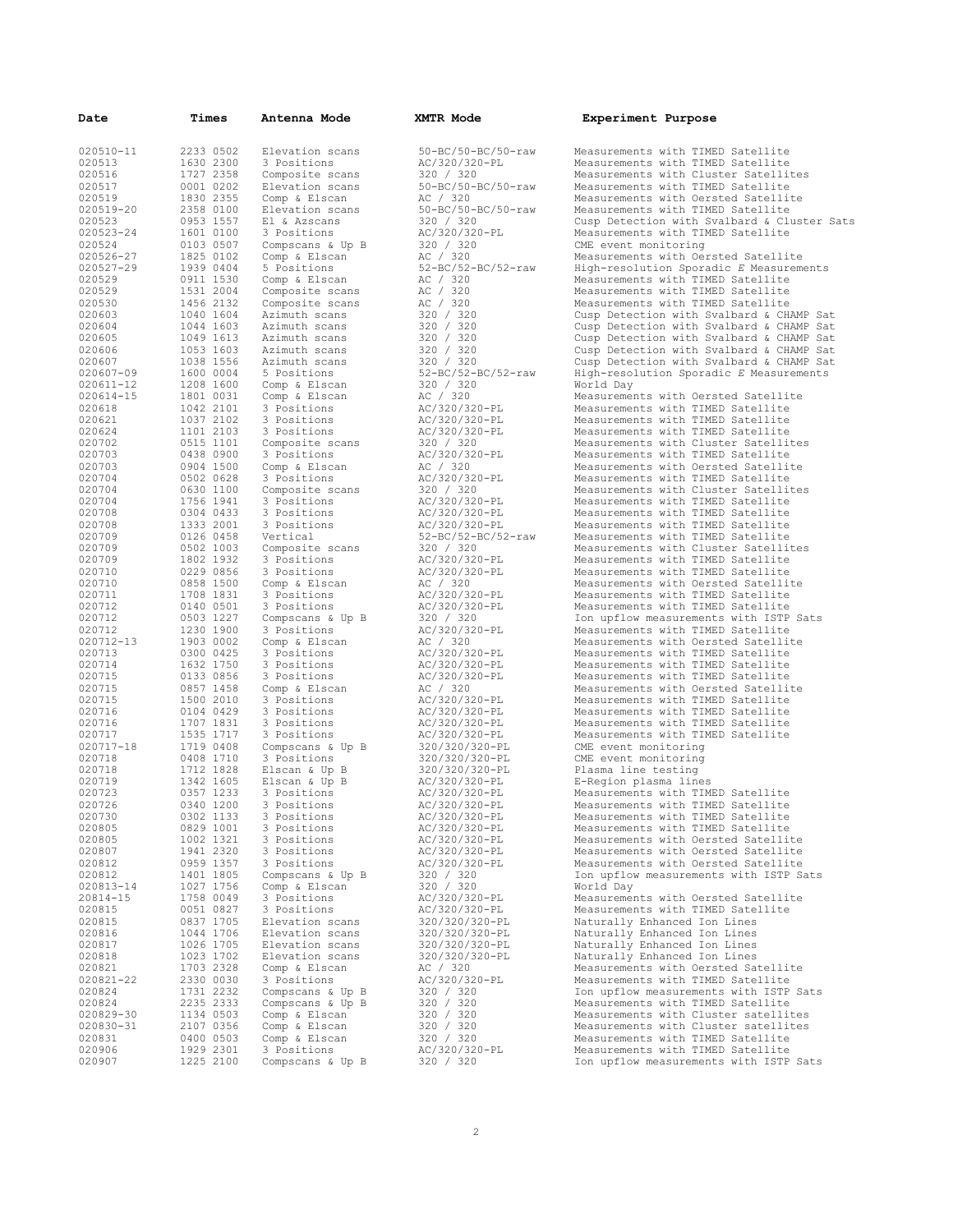| Date                | Times                  | Antenna Mode                         | XMTR Mode                                   | Experiment Purpose                                                                   |
|---------------------|------------------------|--------------------------------------|---------------------------------------------|--------------------------------------------------------------------------------------|
| 020510-11           | 2233 0502              | Elevation scans                      | 50-BC/50-BC/50-raw                          | Measurements with TIMED Satellite                                                    |
| 020513              | 1630 2300              | 3 Positions                          | AC/320/320-PL                               | Measurements with TIMED Satellite                                                    |
| 020516              | 1727 2358              | Composite scans                      | 320 / 320                                   | Measurements with Cluster Satellites                                                 |
| 020517              | 0001 0202              | Elevation scans                      | $50 - BC / 50 - BC / 50 - raw$              | Measurements with TIMED Satellite                                                    |
| 020519<br>020519-20 | 1830 2355<br>2358 0100 | Comp & Elscan<br>Elevation scans     | AC / 320<br>50-BC/50-BC/50-raw              | Measurements with Oersted Satellite<br>Measurements with TIMED Satellite             |
| 020523              | 0953 1557              | El & Azscans                         | 320 / 320                                   | Cusp Detection with Svalbard & Cluster Sats                                          |
| 020523-24           | 1601 0100              | 3 Positions                          | AC/320/320-PL                               | Measurements with TIMED Satellite                                                    |
| 020524              | 0103 0507              | Compscans & Up B                     | 320 / 320                                   | CME event monitoring                                                                 |
| 020526-27           | 1825 0102<br>1939 0404 | Comp & Elscan                        | AC / 320<br>$52 - BC / 52 - BC / 52 - raw$  | Measurements with Oersted Satellite                                                  |
| 020527-29<br>020529 | 0911 1530              | 5 Positions<br>Comp & Elscan         | AC / 320                                    | High-resolution Sporadic E Measurements<br>Measurements with TIMED Satellite         |
| 020529              | 1531 2004              | Composite scans                      | AC / 320                                    | Measurements with TIMED Satellite                                                    |
| 020530              | 1456 2132              | Composite scans                      | AC / 320                                    | Measurements with TIMED Satellite                                                    |
| 020603              | 1040 1604              | Azimuth scans                        | 320 / 320                                   | Cusp Detection with Svalbard & CHAMP Sat                                             |
| 020604<br>020605    | 1044 1603<br>1049 1613 | Azimuth scans<br>Azimuth scans       | 320 / 320<br>320 / 320                      | Cusp Detection with Svalbard & CHAMP Sat<br>Cusp Detection with Svalbard & CHAMP Sat |
| 020606              | 1053 1603              | Azimuth scans                        | 320 / 320                                   | Cusp Detection with Svalbard & CHAMP Sat                                             |
| 020607              | 1038 1556              | Azimuth scans                        | 320 / 320                                   | Cusp Detection with Svalbard & CHAMP Sat                                             |
| 020607-09           | 1600 0004              | 5 Positions                          | 52-BC/52-BC/52-raw                          | High-resolution Sporadic E Measurements                                              |
| 020611-12           | 1208 1600              | Comp & Elscan                        | 320 / 320                                   | World Day                                                                            |
| 020614-15           | 1801 0031<br>1042 2101 | Comp & Elscan<br>3 Positions         | AC / 320                                    | Measurements with Oersted Satellite<br>Measurements with TIMED Satellite             |
| 020618<br>020621    | 1037 2102              | 3 Positions                          | AC/320/320-PL<br>AC/320/320-PL              | Measurements with TIMED Satellite                                                    |
| 020624              | 1101 2103              | 3 Positions                          | AC/320/320-PL                               | Measurements with TIMED Satellite                                                    |
| 020702              | 0515 1101              | Composite scans                      | 320 / 320                                   | Measurements with Cluster Satellites                                                 |
| 020703              | 0438 0900              | 3 Positions                          | AC/320/320-PL                               | Measurements with TIMED Satellite                                                    |
| 020703              | 0904 1500<br>0502 0628 | Comp & Elscan                        | AC / 320                                    | Measurements with Oersted Satellite                                                  |
| 020704<br>020704    | 0630 1100              | 3 Positions<br>Composite scans       | AC/320/320-PL<br>320 / 320                  | Measurements with TIMED Satellite<br>Measurements with Cluster Satellites            |
| 020704              | 1756 1941              | 3 Positions                          | AC/320/320-PL                               | Measurements with TIMED Satellite                                                    |
| 020708              | 0304 0433              | 3 Positions                          | AC/320/320-PL                               | Measurements with TIMED Satellite                                                    |
| 020708              | 1333 2001              | 3 Positions                          | AC/320/320-PL                               | Measurements with TIMED Satellite                                                    |
| 020709<br>020709    | 0126 0458<br>0502 1003 | Vertical<br>Composite scans          | $52 - BC / 52 - BC / 52 - raw$<br>320 / 320 | Measurements with TIMED Satellite<br>Measurements with Cluster Satellites            |
| 020709              | 1802 1932              | 3 Positions                          | AC/320/320-PL                               | Measurements with TIMED Satellite                                                    |
| 020710              | 0229 0856              | 3 Positions                          | AC/320/320-PL                               | Measurements with TIMED Satellite                                                    |
| 020710              | 0858 1500              | Comp & Elscan                        | AC / 320                                    | Measurements with Oersted Satellite                                                  |
| 020711              | 1708 1831              | 3 Positions                          | AC/320/320-PL                               | Measurements with TIMED Satellite                                                    |
| 020712<br>020712    | 0140 0501<br>0503 1227 | 3 Positions<br>Compscans & Up B      | AC/320/320-PL<br>320 / 320                  | Measurements with TIMED Satellite<br>Ion upflow measurements with ISTP Sats          |
| 020712              | 1230 1900              | 3 Positions                          | AC/320/320-PL                               | Measurements with TIMED Satellite                                                    |
| 020712-13           | 1903 0002              | Comp & Elscan                        | AC / 320                                    | Measurements with Oersted Satellite                                                  |
| 020713              | 0300 0425              | 3 Positions                          | AC/320/320-PL                               | Measurements with TIMED Satellite                                                    |
| 020714<br>020715    | 1632 1750<br>0133 0856 | 3 Positions<br>3 Positions           | AC/320/320-PL<br>AC/320/320-PL              | Measurements with TIMED Satellite<br>Measurements with TIMED Satellite               |
| 020715              | 0857 1458              | Comp & Elscan                        | AC / 320                                    | Measurements with Oersted Satellite                                                  |
| 020715              | 1500 2010              | 3 Positions                          | AC/320/320-PL                               | Measurements with TIMED Satellite                                                    |
| 020716              | 0104 0429              | 3 Positions                          | AC/320/320-PL                               | Measurements with TIMED Satellite                                                    |
| 020716              | 1707 1831<br>1535 1717 | 3 Positions                          | AC/320/320-PL                               | Measurements with TIMED Satellite<br>Measurements with TIMED Satellite               |
| 020717<br>020717-18 | 1719 0408              | 3 Positions<br>Compscans & Up B      | AC/320/320-PL<br>320/320/320-PL             | CME event monitoring                                                                 |
| 020718              | 0408 1710              | 3 Positions                          | 320/320/320-PL                              | CME event monitoring                                                                 |
| 020718              | 1712 1828              | Elscan & Up B                        | 320/320/320-PL                              | Plasma line testing                                                                  |
| 020719              | 1342 1605              | Elscan & Up B                        | AC/320/320-PL                               | E-Region plasma lines                                                                |
| 020723<br>020726    | 0357 1233<br>0340 1200 | 3 Positions<br>3 Positions           | AC/320/320-PL<br>AC/320/320-PL              | Measurements with TIMED Satellite<br>Measurements with TIMED Satellite               |
| 020730              | 0302 1133              | 3 Positions                          | AC/320/320-PL                               | Measurements with TIMED Satellite                                                    |
| 020805              | 0829 1001              | 3 Positions                          | AC/320/320-PL                               | Measurements with TIMED Satellite                                                    |
| 020805              | 1002 1321              | 3 Positions                          | AC/320/320-PL                               | Measurements with Oersted Satellite                                                  |
| 020807              | 1941 2320              | 3 Positions                          | AC/320/320-PL<br>AC/320/320-PL              | Measurements with Oersted Satellite                                                  |
| 020812<br>020812    | 0959 1357<br>1401 1805 | 3 Positions<br>Compscans & Up B      | 320 / 320                                   | Measurements with Oersted Satellite<br>Ion upflow measurements with ISTP Sats        |
| 020813-14           | 1027 1756              | Comp & Elscan                        | 320 / 320                                   | World Day                                                                            |
| $20814 - 15$        | 1758 0049              | 3 Positions                          | AC/320/320-PL                               | Measurements with Oersted Satellite                                                  |
| 020815              | 0051 0827              | 3 Positions                          | AC/320/320-PL                               | Measurements with TIMED Satellite                                                    |
| 020815<br>020816    | 0837 1705<br>1044 1706 | Elevation scans<br>Elevation scans   | 320/320/320-PL<br>320/320/320-PL            | Naturally Enhanced Ion Lines<br>Naturally Enhanced Ion Lines                         |
| 020817              | 1026 1705              | Elevation scans                      | 320/320/320-PL                              | Naturally Enhanced Ion Lines                                                         |
| 020818              | 1023 1702              | Elevation scans                      | 320/320/320-PL                              | Naturally Enhanced Ion Lines                                                         |
| 020821              | 1703 2328              | Comp & Elscan                        | AC / 320                                    | Measurements with Oersted Satellite                                                  |
| 020821-22           | 2330 0030              | 3 Positions                          | AC/320/320-PL                               | Measurements with TIMED Satellite                                                    |
| 020824<br>020824    | 1731 2232<br>2235 2333 | Compscans & Up B<br>Compscans & Up B | 320 / 320<br>320 / 320                      | Ion upflow measurements with ISTP Sats<br>Measurements with TIMED Satellite          |
| 020829-30           | 1134 0503              | Comp & Elscan                        | 320 / 320                                   | Measurements with Cluster satellites                                                 |
| 020830-31           | 2107 0356              | Comp & Elscan                        | 320 / 320                                   | Measurements with Cluster satellites                                                 |
| 020831              | 0400 0503              | Comp & Elscan                        | 320 / 320                                   | Measurements with TIMED Satellite                                                    |
| 020906<br>020907    | 1929 2301<br>1225 2100 | 3 Positions<br>Compscans & Up B      | AC/320/320-PL<br>320 / 320                  | Measurements with TIMED Satellite<br>Ion upflow measurements with ISTP Sats          |
|                     |                        |                                      |                                             |                                                                                      |